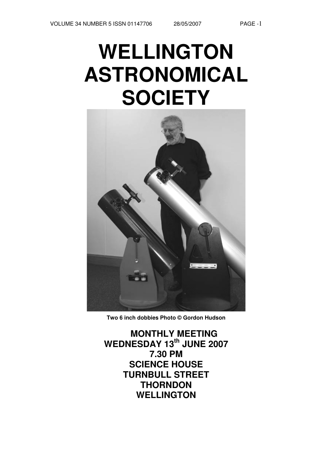# **WELLINGTON ASTRONOMICAL SOCIETY**



**Two 6 inch dobbies Photo © Gordon Hudson**

**MONTHLY MEETING WEDNESDAY 13th JUNE 2007 7.30 PM SCIENCE HOUSE TURNBULL STREET THORNDON WELLINGTON**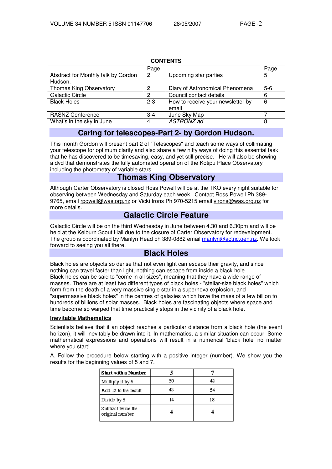| <b>CONTENTS</b>                                |         |                                            |         |  |  |
|------------------------------------------------|---------|--------------------------------------------|---------|--|--|
|                                                | Page    |                                            | Page    |  |  |
| Abstract for Monthly talk by Gordon<br>Hudson. | 2       | Upcoming star parties                      | 5       |  |  |
| <b>Thomas King Observatory</b>                 | 2       | Diary of Astronomical Phenomena            | $5 - 6$ |  |  |
| <b>Galactic Circle</b>                         | 2       | Council contact details                    | 6       |  |  |
| <b>Black Holes</b>                             | $2 - 3$ | How to receive your newsletter by<br>email | 6       |  |  |
| <b>RASNZ Conference</b>                        | $3 - 4$ | June Sky Map                               |         |  |  |
| What's in the sky in June                      | 4       | ASTRONZ ad                                 | 8       |  |  |

## **Caring for telescopes-Part 2- by Gordon Hudson.**

This month Gordon will present part 2 of "Telescopes" and teach some ways of collimating your telescope for optimum clarity and also share a few nifty ways of doing this essential task that he has discovered to be timesaving, easy, and yet still precise. He will also be showing a dvd that demonstrates the fully automated operation of the Kotipu Place Observatory including the photometry of variable stars.

## **Thomas King Observatory**

Although Carter Observatory is closed Ross Powell will be at the TKO every night suitable for observing between Wednesday and Saturday each week. Contact Ross Powell Ph 389- 9765, email rpowell@was.org.nz or Vicki Irons Ph 970-5215 email virons@was.org.nz for more details.

## **Galactic Circle Feature**

Galactic Circle will be on the third Wednesday in June between 4.30 and 6.30pm and will be held at the Kelburn Scout Hall due to the closure of Carter Observatory for redevelopment. The group is coordinated by Marilyn Head ph 389-0882 email marilyn@actric.gen.nz. We look forward to seeing you all there.

## **Black Holes**

Black holes are objects so dense that not even light can escape their gravity, and since nothing can travel faster than light, nothing can escape from inside a black hole. Black holes can be said to "come in all sizes", meaning that they have a wide range of masses. There are at least two different types of black holes - "stellar-size black holes" which form from the death of a very massive single star in a supernova explosion, and "supermassive black holes" in the centres of galaxies which have the mass of a few billion to hundreds of billions of solar masses. Black holes are fascinating objects where space and time become so warped that time practically stops in the vicinity of a black hole.

#### **Inevitable Mathematics**

Scientists believe that if an object reaches a particular distance from a black hole (the event horizon), it will inevitably be drawn into it. In mathematics, a similar situation can occur. Some mathematical expressions and operations will result in a numerical 'black hole' no matter where you start!

A. Follow the procedure below starting with a positive integer (number). We show you the results for the beginning values of 5 and 7.

| <b>Start with a Number</b>            |    |    |
|---------------------------------------|----|----|
| Multiply it by 6                      | 30 | 42 |
| Add 12 to the result                  | 42 | 54 |
| Divide by 3                           | 14 | 18 |
| Subtract twice the<br>original number |    |    |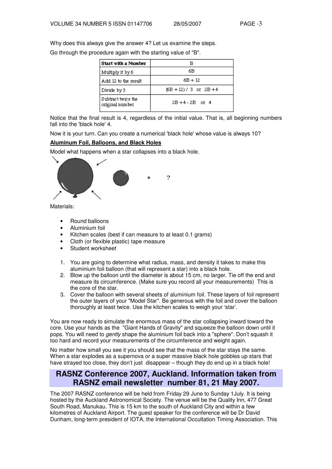Why does this always give the answer 4? Let us examine the steps.

Go through the procedure again with the starting value of "B".

| <b>Start with a Number</b>            |                            |
|---------------------------------------|----------------------------|
| Multiply it by 6                      | 6В.                        |
| Add 12 to the result                  | 6B + 12                    |
| Divide by 3                           | $(B + 12) / 3$ or $2B + 4$ |
| Subtract twice the<br>original number | $2B + 4 - 2B$ or 4         |

Notice that the final result is 4, regardless of the initial value. That is, all beginning numbers fall into the 'black hole' 4.

Now it is your turn. Can you create a numerical 'black hole' whose value is always 10?

#### **Aluminum Foil, Balloons, and Black Holes**

Model what happens when a star collapses into a black hole.



Materials:

- Round balloons
- Aluminium foil
- Kitchen scales (best if can measure to at least 0.1 grams)
- Cloth (or flexible plastic) tape measure
- Student worksheet
- 1. You are going to determine what radius, mass, and density it takes to make this aluminium foil balloon (that will represent a star) into a black hole.
- 2. Blow up the balloon until the diameter is about 15 cm, no larger. Tie off the end and measure its circumference. (Make sure you record all your measurements) This is the core of the star.
- 3. Cover the balloon with several sheets of aluminium foil. These layers of foil represent the outer layers of your "Model Star". Be generous with the foil and cover the balloon thoroughly at least twice. Use the kitchen scales to weigh your 'star'.

You are now ready to simulate the enormous mass of the star collapsing inward toward the core. Use your hands as the "Giant Hands of Gravity" and squeeze the balloon down until it pops. You will need to *gently* shape the aluminium foil back into a "sphere". Don't squash it too hard and record your measurements of the circumference and weight again.

No matter how small you see it you should see that the mass of the star stays the same. When a star explodes as a supernova or a super massive black hole gobbles up stars that have strayed too close, they don't just disappear – though they do end up in a black hole!

## **RASNZ Conference 2007, Auckland. Information taken from RASNZ email newsletter number 81, 21 May 2007.**

The 2007 RASNZ conference will be held from Friday 29 June to Sunday 1July. It is being hosted by the Auckland Astronomical Society. The venue will be the Quality Inn, 477 Great South Road, Manukau. This is 15 km to the south of Auckland City and within a few kilometres of Auckland Airport. The guest speaker for the conference will be Dr David Dunham, long-term president of IOTA, the International Occultation Timing Association. This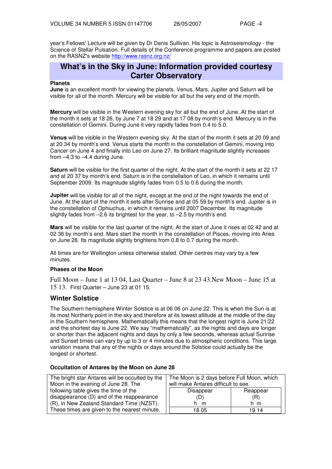year's Fellows' Lecture will be given by Dr Denis Sullivan. His topic is Astroseismology - the Science of Stellar Pulsation. Full details of the Conference programme and papers are posted on the RASNZ's website http://www.rasnz.org.nz/

## **What's in the Sky in June: Information provided courtesy Carter Observatory**

#### **Planets**

**June** is an excellent month for viewing the planets. Venus, Mars, Jupiter and Saturn will be visible for all of the month. Mercury will be visible for all but the very end of the month.

**Mercury** will be visible in the Western evening sky for all but the end of June. At the start of the month it sets at 18 26, by June 7 at 18 29 and at 17 08 by month's end. Mercury is in the constellation of Gemini. During June it very rapidly fades from 0.4 to 5.0.

**Venus** will be visible in the Western evening sky. At the start of the month it sets at 20 09 and at 20 34 by month's end. Venus starts the month in the constellation of Gemini, moving into Cancer on June 4 and finally into Leo on June 27. Its brilliant magnitude slightly increases from –4.3 to –4.4 during June.

**Saturn** will be visible for the first quarter of the night. At the start of the month it sets at 22 17 and at 20 37 by month's end. Saturn is in the constellation of Leo, in which it remains until September 2009. Its magnitude slightly fades from 0.5 to 0.6 during the month.

**Jupiter** will be visible for all of the night, except at the end of the night towards the end of June. At the start of the month it sets after Sunrise and at 05 59 by month's end. Jupiter is in the constellation of Ophiuchus, in which it remains until 2007 December. Its magnitude slightly fades from –2.6 its brightest for the year, to –2.5 by month's end.

**Mars** will be visible for the last quarter of the night. At the start of June it rises at 02 42 and at 02 36 by month's end. Mars start the month in the constellation of Pisces, moving into Aries on June 28. Its magnitude slightly brightens from 0.8 to 0.7 during the month.

All times are for Wellington unless otherwise stated. Other centres may vary by a few minutes.

#### **Phases of the Moon**

Full Moon – June 1 at 13 04, Last Quarter – June 8 at 23 43.New Moon – June 15 at 15 13. First Quarter – June 23 at 01 15.

## **Winter Solstice**

The Southern hemisphere Winter Solstice is at 06 06 on June 22. This is when the Sun is at its most Northerly point in the sky and therefore at its lowest altitude at the middle of the day in the Southern hemisphere. Mathematically this means that the longest night is June 21/22 and the shortest day is June 22. We say "mathematically", as the nights and days are longer or shorter than the adjacent nights and days by only a few seconds, whereas actual Sunrise and Sunset times can vary by up to 3 or 4 minutes due to atmospheric conditions. This large variation means that any of the nights or days around the Solstice could actually be the longest or shortest.

#### **Occultation of Antares by the Moon on June 28**

| The bright star Antares will be occulted by the | The Moon is 2 days before Full Moon, which |          |
|-------------------------------------------------|--------------------------------------------|----------|
| Moon in the evening of June 28. The             | will make Antares difficult to see.        |          |
| following table gives the time of the           | Disappear                                  | Reappear |
| disappearance (D) and of the reappearance       | (D)                                        | (R)      |
| (R), in New Zealand Standard Time (NZST).       | h m                                        | h m      |
| These times are given to the nearest minute.    | 18 05                                      | 19 14    |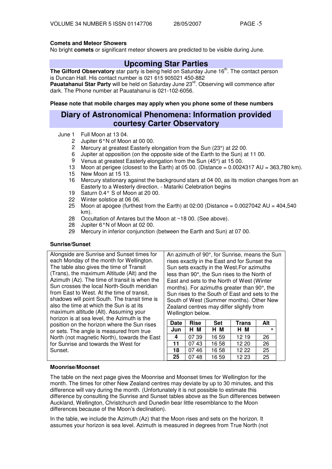### **Comets and Meteor Showers**

No bright **comets** or significant meteor showers are predicted to be visible during June.

## **Upcoming Star Parties**

The Gifford Observatory star party is being held on Saturday June 16<sup>th</sup>. The contact person is Duncan Hall. His contact number is 021 615 905021 450-882

Pauatahanui Star Party will be held on Saturday June 23<sup>rd</sup>. Observing will commence after dark. The Phone number at Pauatahanui is 021-102-6056.

**Please note that mobile charges may apply when you phone some of these numbers**

## **Diary of Astronomical Phenomena: Information provided courtesy Carter Observatory**

- June 1 Full Moon at 13 04.
	- 2 Jupiter 6°N of Moon at 00 00.
	- 2 Mercury at greatest Easterly elongation from the Sun (23°) at 22 00.
	- 6 Jupiter at opposition (on the opposite side of the Earth to the Sun) at 11 00.
	- 9 Venus at greatest Easterly elongation from the Sun (45°) at 15 00.
	- 13 Moon at perigee (closest to the Earth) at 05 00. (Distance = 0.0024317 AU = 363,780 km).
	- 15 New Moon at 15 13.
	- 16 Mercury stationary against the background stars at 04 00, as its motion changes from an Easterly to a Westerly direction. - Matariki Celebration begins
	- 19 Saturn 0.4° S of Moon at 20 00.
	- 22 Winter solstice at 06 06.
	- 25 Moon at apogee (furthest from the Earth) at 02:00 (Distance =  $0.0027042$  AU =  $404,540$ km).
	- 28 Occultation of Antares but the Moon at ~18 00. (See above).
	- 28 Jupiter 6°N of Moon at 02 00.
	- 29 Mercury in inferior conjunction (between the Earth and Sun) at 07 00.

#### **Sunrise/Sunset**

Alongside are Sunrise and Sunset times for each Monday of the month for Wellington. The table also gives the time of Transit (Trans), the maximum Altitude (Alt) and the Azimuth (Az). The time of transit is when the Sun crosses the local North-South meridian from East to West. At the time of transit, shadows will point South. The transit time is also the time at which the Sun is at its maximum altitude (Alt). Assuming your horizon is at sea level, the Azimuth is the position on the horizon where the Sun rises or sets. The angle is measured from true North (not magnetic North), towards the East for Sunrise and towards the West for Sunset.

An azimuth of 90°, for Sunrise, means the Sun rises exactly in the East and for Sunset the Sun sets exactly in the West.For azimuths less than 90°, the Sun rises to the North of East and sets to the North of West (Winter months). For azimuths greater than 90°, the Sun rises to the South of East and sets to the South of West (Summer months). Other New Zealand centres may differ slightly from Wellington below.

| Date | <b>Rise</b> | <b>Set</b> | <b>Trans</b> | Alt       |
|------|-------------|------------|--------------|-----------|
| Jun  | H M         | H M        | H M          | $\bullet$ |
|      | 07 39       | 16 59      | 12 19        | 26        |
| 11   | 07.43       | 16 58      | 12 20        | 26        |
| 18   | 07 46       | 16 58      | 12 22        | 25        |
| 25   | 48          | 16 59      | 12 23        | 25        |

#### **Moonrise/Moonset**

The table on the next page gives the Moonrise and Moonset times for Wellington for the month. The times for other New Zealand centres may deviate by up to 30 minutes, and this difference will vary during the month. (Unfortunately it is not possible to estimate this difference by consulting the Sunrise and Sunset tables above as the Sun differences between Auckland, Wellington, Christchurch and Dunedin bear little resemblance to the Moon differences because of the Moon's declination).

In the table, we include the Azimuth (Az) that the Moon rises and sets on the horizon. It assumes your horizon is sea level. Azimuth is measured in degrees from True North (not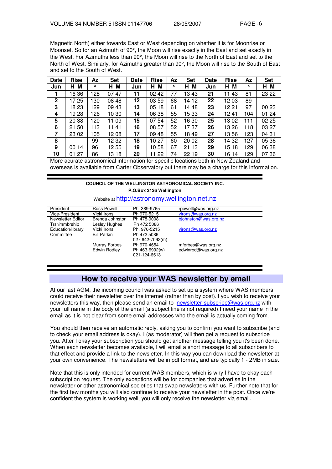Magnetic North) either towards East or West depending on whether it is for Moonrise or Moonset. So for an Azimuth of 90°, the Moon will rise exactly in the East and set exactly in the West. For Azimuths less than 90°, the Moon will rise to the North of East and set to the North of West. Similarly, for Azimuths greater than 90°, the Moon will rise to the South of East and set to the South of West.

| Date         | <b>Rise</b> | Az  | <b>Set</b> | Date | <b>Rise</b> | Az | <b>Set</b> | <b>Date</b> | <b>Rise</b> | Az  | <b>Set</b> |
|--------------|-------------|-----|------------|------|-------------|----|------------|-------------|-------------|-----|------------|
| Jun          | M<br>н      | ۰   | M<br>H.    | Jun  | М<br>н      | ۰  | M<br>н     | Jun         | м<br>н      | ۰   | НM         |
|              | 16 36       | 128 | 0747       | 11   | 02 42       | 77 | 13 43      | 21          | 43<br>11    | 81  | 23 22      |
| $\mathbf{2}$ | 17 25       | 130 | 08 48      | 12   | 03 59       | 68 | 14 12      | 22          | 12 03       | 89  |            |
| 3            | 18 23       | 129 | 09 43      | 13   | 05 18       | 61 | 14 48      | 23          | 12 21       | 97  | 00 23      |
| 4            | 19 28       | 126 | 10 30      | 14   | 06 38       | 55 | 15 33      | 24          | 1241        | 104 | 01 24      |
| 5            | 20 38       | 120 | 11 09      | 15   | 07 54       | 52 | 16 30      | 25          | 1302        | 111 | 02 25      |
| 6            | 21 50       | 113 | 11<br>41   | 16   | 08 57       | 52 | 1737       | 26          | 13 26       | 118 | 03 27      |
| 7            | 23 02       | 105 | 1208       | 17   | 09 48       | 55 | 1849       | 27          | 1356        | 123 | 04 31      |
| 8            | $---$       | 99  | 12 32      | 18   | 1027        | 60 | 20 02      | 28          | 14 32       | 127 | 05 36      |
| 9            | 00 14       | 96  | 1255       | 19   | 1058        | 67 | 13<br>21   | 29          | 15 18       | 129 | 06 38      |
| 10           | 01 27       | 86  | 13 18      | 20   | 22<br>11    | 74 | 22 19      | 30          | 16 14       | 129 | 07 36      |

More acurate astronomical information for specific locations both in New Zealand and overseas is available from Carter Observatory but there may be a charge for this information.

## **COUNCIL OF THE WELLINGTON ASTRONOMICAL SOCIETY INC. P.O.Box 3126 Wellington**

### Website at http://astronomy.wellington.net.nz

| President         | Ross Powell        | Ph 389-9765     | rpowell@was.org.nz   |
|-------------------|--------------------|-----------------|----------------------|
| Vice-President    | Vicki Irons        | Ph 970-5215     | virons@was.org.nz    |
| Newsletter Editor | Brenda Johnston    | Ph 478-9008     | biohnston@was.org.nz |
| Trsr/mmbrship     | Lesley Hughes      | Ph 472 5086     |                      |
| Education/library | Vicki Irons        | Ph. 970-5215    | virons@was.org.nz    |
| Committee         | <b>Bill Parkin</b> | Ph 472 5086     |                      |
|                   |                    | 027 642-7093(m) |                      |
|                   | Murray Forbes      | Ph 970-4654     | mforbes@was.org.nz   |
|                   | Edwin Rodley       | Ph 463-6992(w)  | edwinrod@was.org.nz  |
|                   |                    | 021-124-6513    |                      |
|                   |                    |                 |                      |

## **How to receive your WAS newsletter by email**

At our last AGM, the incoming council was asked to set up a system where WAS members could receive their newsletter over the internet (rather than by post).if you wish to receive your newsletters this way, then please send an email to ;newsletter-subscribe@was.org.nz with your full name in the body of the email (a subject line is not required).I need your name in the email as it is not clear from some email addresses who the email is actually coming from.

You should then receive an automatic reply, asking you to confirm you want to subscribe (and to check your email address is okay). I (as moderator) will then get a request to subscribe you. After I okay your subscription you should get another message telling you it's been done. When each newsletter becomes available, I will email a short message to all subscribers to that effect and provide a link to the newsletter. In this way you can download the newsletter at your own convenience. The newsletters will be in pdf format, and are typically 1 - 2MB in size.

Note that this is only intended for current WAS members, which is why I have to okay each subscription request. The only exceptions will be for companies that advertise in the newsletter or other astronomical societies that swap newsletters with us. Further note that for the first few months you will also continue to receive your newsletter in the post. Once we're confident the system is working well, you will only receive the newsletter via email.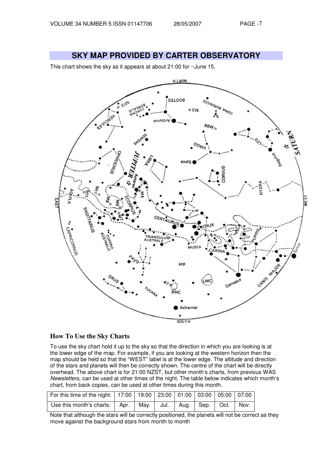## **SKY MAP PROVIDED BY CARTER OBSERVATORY**

This chart shows the sky as it appears at about 21:00 for ~June 15.



#### **How To Use the Sky Charts**

To use the sky chart hold it up to the sky so that the direction in which you are looking is at the lower edge of the map. For example, if you are looking at the western horizon then the map should be held so that the "WEST" label is at the lower edge. The altitude and direction of the stars and planets will then be correctly shown. The centre of the chart will be directly overhead. The above chart is for 21:00 NZST, but other month's charts, from previous WAS Newsletters, can be used at other times of the night. The table below indicates which month's chart, from back copies, can be used at other times during this month.

| For this time of the night:   17:00   19:00   23:00   01:00   03:00   05:00   07:00 |  |  |  |  |
|-------------------------------------------------------------------------------------|--|--|--|--|
| Use this month's charts:   Apr.   May.   Jul.   Aug.   Sep.   Oct.   Nov.           |  |  |  |  |

Note that although the stars will be correctly positioned, the planets will not be correct as they move against the background stars from month to month